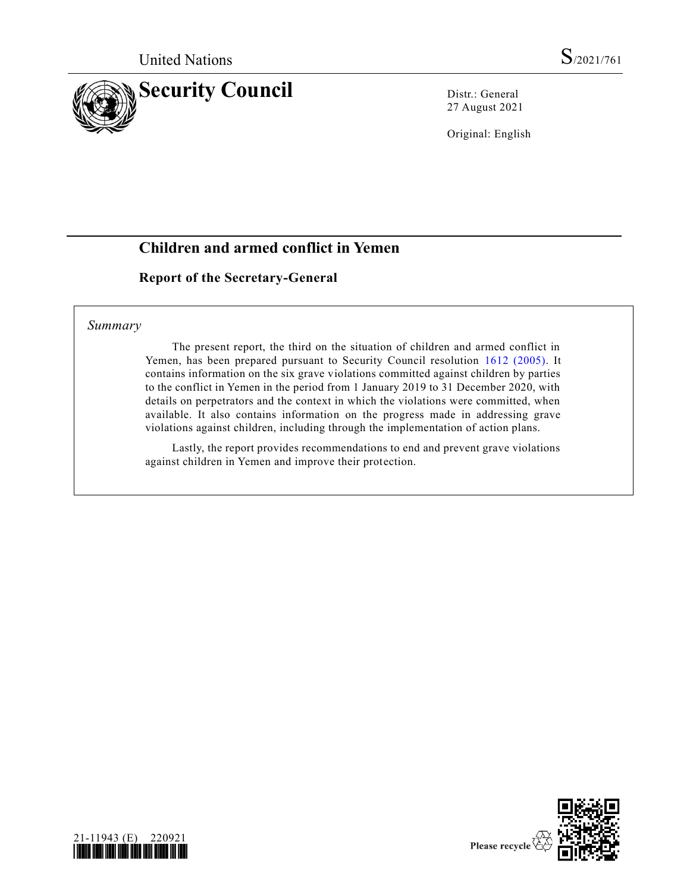

27 August 2021

Original: English

# **Children and armed conflict in Yemen**

## **Report of the Secretary-General**

## *Summary*

The present report, the third on the situation of children and armed conflict in Yemen, has been prepared pursuant to Security Council resolution [1612 \(2005\).](https://undocs.org/en/S/RES/1612(2005)) It contains information on the six grave violations committed against children by parties to the conflict in Yemen in the period from 1 January 2019 to 31 December 2020, with details on perpetrators and the context in which the violations were committed, when available. It also contains information on the progress made in addressing grave violations against children, including through the implementation of action plans.

Lastly, the report provides recommendations to end and prevent grave violations against children in Yemen and improve their protection.



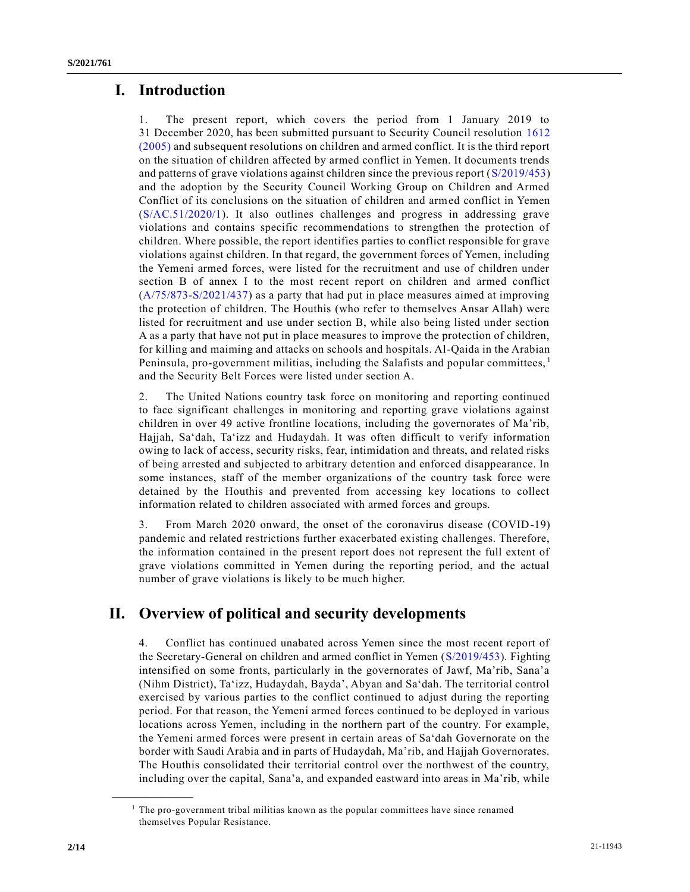# **I. Introduction**

1. The present report, which covers the period from 1 January 2019 to 31 December 2020, has been submitted pursuant to Security Council resolution [1612](https://undocs.org/en/S/RES/1612(2005))  [\(2005\)](https://undocs.org/en/S/RES/1612(2005)) and subsequent resolutions on children and armed conflict. It is the third report on the situation of children affected by armed conflict in Yemen. It documents trends and patterns of grave violations against children since the previous report [\(S/2019/453\)](https://undocs.org/en/S/2019/453) and the adoption by the Security Council Working Group on Children and Armed Conflict of its conclusions on the situation of children and armed conflict in Yemen [\(S/AC.51/2020/1\)](https://undocs.org/en/S/AC.51/2020/1). It also outlines challenges and progress in addressing grave violations and contains specific recommendations to strengthen the protection of children. Where possible, the report identifies parties to conflict responsible for grave violations against children. In that regard, the government forces of Yemen, including the Yemeni armed forces, were listed for the recruitment and use of children under section B of annex I to the most recent report on children and armed conflict [\(A/75/873-S/2021/437\)](https://undocs.org/en/A/75/873) as a party that had put in place measures aimed at improving the protection of children. The Houthis (who refer to themselves Ansar Allah) were listed for recruitment and use under section B, while also being listed under section A as a party that have not put in place measures to improve the protection of children, for killing and maiming and attacks on schools and hospitals. Al-Qaida in the Arabian Peninsula, pro-government militias, including the Salafists and popular committees,  $\frac{1}{1}$ and the Security Belt Forces were listed under section A.

2. The United Nations country task force on monitoring and reporting continued to face significant challenges in monitoring and reporting grave violations against children in over 49 active frontline locations, including the governorates of Ma'rib, Hajjah, Sa'dah, Ta'izz and Hudaydah. It was often difficult to verify information owing to lack of access, security risks, fear, intimidation and threats, and related risks of being arrested and subjected to arbitrary detention and enforced disappearance. In some instances, staff of the member organizations of the country task force were detained by the Houthis and prevented from accessing key locations to collect information related to children associated with armed forces and groups.

3. From March 2020 onward, the onset of the coronavirus disease (COVID-19) pandemic and related restrictions further exacerbated existing challenges. Therefore, the information contained in the present report does not represent the full extent of grave violations committed in Yemen during the reporting period, and the actual number of grave violations is likely to be much higher.

# **II. Overview of political and security developments**

4. Conflict has continued unabated across Yemen since the most recent report of the Secretary-General on children and armed conflict in Yemen [\(S/2019/453\)](https://undocs.org/en/S/2019/453). Fighting intensified on some fronts, particularly in the governorates of Jawf, Ma'rib, Sana'a (Nihm District), Ta'izz, Hudaydah, Bayda', Abyan and Sa'dah. The territorial control exercised by various parties to the conflict continued to adjust during the reporting period. For that reason, the Yemeni armed forces continued to be deployed in various locations across Yemen, including in the northern part of the country. For example, the Yemeni armed forces were present in certain areas of Sa'dah Governorate on the border with Saudi Arabia and in parts of Hudaydah, Ma'rib, and Hajjah Governorates. The Houthis consolidated their territorial control over the northwest of the country, including over the capital, Sana'a, and expanded eastward into areas in Ma'rib, while

**\_\_\_\_\_\_\_\_\_\_\_\_\_\_\_\_\_\_**

<sup>&</sup>lt;sup>1</sup> The pro-government tribal militias known as the popular committees have since renamed themselves Popular Resistance.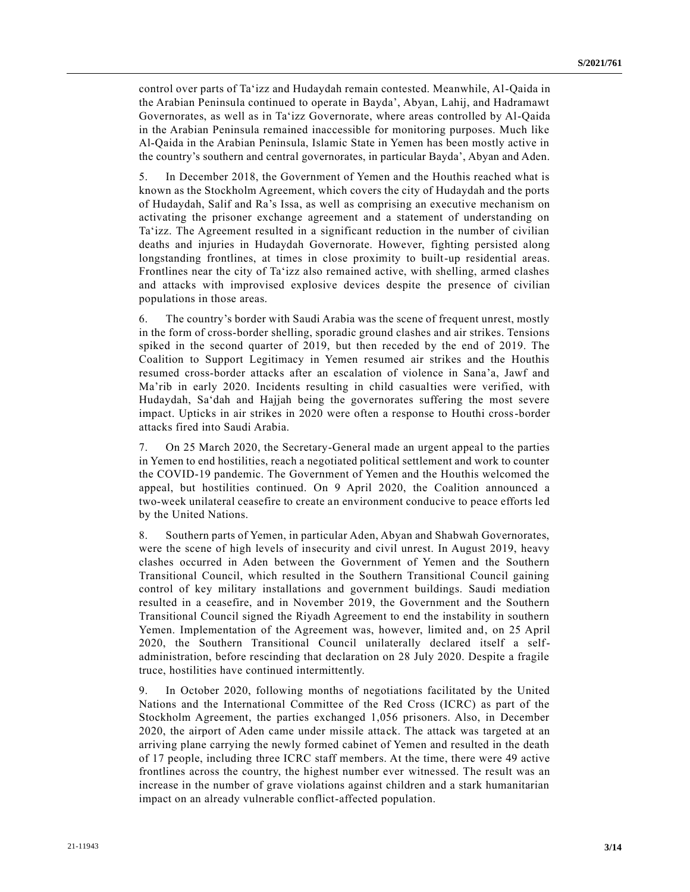control over parts of Ta'izz and Hudaydah remain contested. Meanwhile, Al-Qaida in the Arabian Peninsula continued to operate in Bayda', Abyan, Lahij, and Hadramawt Governorates, as well as in Ta'izz Governorate, where areas controlled by Al-Qaida in the Arabian Peninsula remained inaccessible for monitoring purposes. Much like Al-Qaida in the Arabian Peninsula, Islamic State in Yemen has been mostly active in the country's southern and central governorates, in particular Bayda', Abyan and Aden.

5. In December 2018, the Government of Yemen and the Houthis reached what is known as the Stockholm Agreement, which covers the city of Hudaydah and the ports of Hudaydah, Salif and Ra's Issa, as well as comprising an executive mechanism on activating the prisoner exchange agreement and a statement of understanding on Ta'izz. The Agreement resulted in a significant reduction in the number of civilian deaths and injuries in Hudaydah Governorate. However, fighting persisted along longstanding frontlines, at times in close proximity to built-up residential areas. Frontlines near the city of Ta'izz also remained active, with shelling, armed clashes and attacks with improvised explosive devices despite the presence of civilian populations in those areas.

6. The country's border with Saudi Arabia was the scene of frequent unrest, mostly in the form of cross-border shelling, sporadic ground clashes and air strikes. Tensions spiked in the second quarter of 2019, but then receded by the end of 2019. The Coalition to Support Legitimacy in Yemen resumed air strikes and the Houthis resumed cross-border attacks after an escalation of violence in Sana'a, Jawf and Ma'rib in early 2020. Incidents resulting in child casualties were verified, with Hudaydah, Sa'dah and Hajjah being the governorates suffering the most severe impact. Upticks in air strikes in 2020 were often a response to Houthi cross-border attacks fired into Saudi Arabia.

7. On 25 March 2020, the Secretary-General made an urgent appeal to the parties in Yemen to end hostilities, reach a negotiated political settlement and work to counter the COVID-19 pandemic. The Government of Yemen and the Houthis welcomed the appeal, but hostilities continued. On 9 April 2020, the Coalition announced a two-week unilateral ceasefire to create an environment conducive to peace efforts led by the United Nations.

8. Southern parts of Yemen, in particular Aden, Abyan and Shabwah Governorates, were the scene of high levels of insecurity and civil unrest. In August 2019, heavy clashes occurred in Aden between the Government of Yemen and the Southern Transitional Council, which resulted in the Southern Transitional Council gaining control of key military installations and government buildings. Saudi mediation resulted in a ceasefire, and in November 2019, the Government and the Southern Transitional Council signed the Riyadh Agreement to end the instability in southern Yemen. Implementation of the Agreement was, however, limited and, on 25 April 2020, the Southern Transitional Council unilaterally declared itself a selfadministration, before rescinding that declaration on 28 July 2020. Despite a fragile truce, hostilities have continued intermittently.

9. In October 2020, following months of negotiations facilitated by the United Nations and the International Committee of the Red Cross (ICRC) as part of the Stockholm Agreement, the parties exchanged 1,056 prisoners. Also, in December 2020, the airport of Aden came under missile attack. The attack was targeted at an arriving plane carrying the newly formed cabinet of Yemen and resulted in the death of 17 people, including three ICRC staff members. At the time, there were 49 active frontlines across the country, the highest number ever witnessed. The result was an increase in the number of grave violations against children and a stark humanitarian impact on an already vulnerable conflict-affected population.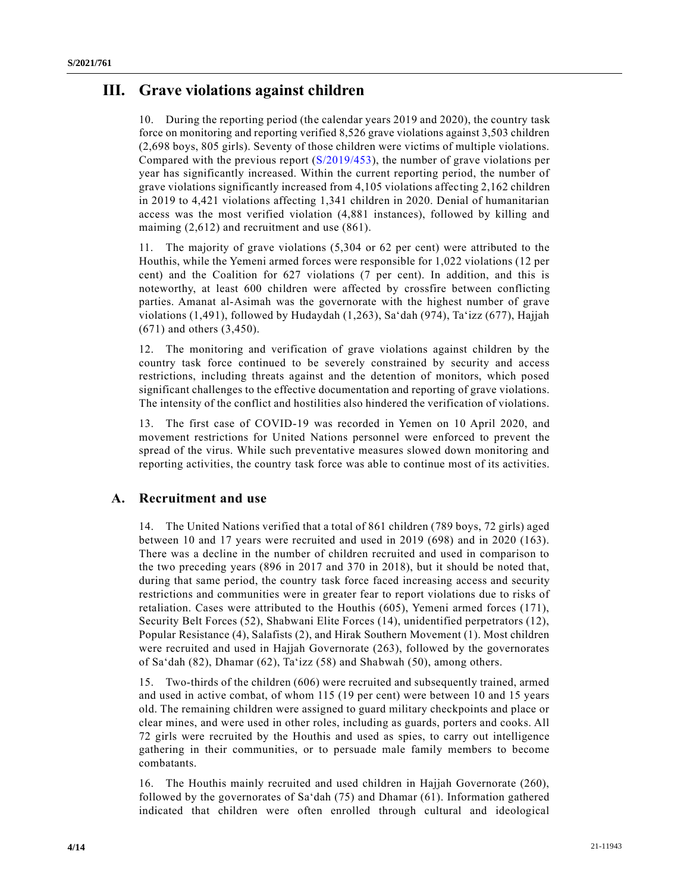# **III. Grave violations against children**

10. During the reporting period (the calendar years 2019 and 2020), the country task force on monitoring and reporting verified 8,526 grave violations against 3,503 children (2,698 boys, 805 girls). Seventy of those children were victims of multiple violations. Compared with the previous report [\(S/2019/453\)](https://undocs.org/en/S/2019/453), the number of grave violations per year has significantly increased. Within the current reporting period, the number of grave violations significantly increased from 4,105 violations affecting 2,162 children in 2019 to 4,421 violations affecting 1,341 children in 2020. Denial of humanitarian access was the most verified violation (4,881 instances), followed by killing and maiming (2,612) and recruitment and use (861).

11. The majority of grave violations (5,304 or 62 per cent) were attributed to the Houthis, while the Yemeni armed forces were responsible for 1,022 violations (12 per cent) and the Coalition for 627 violations (7 per cent). In addition, and this is noteworthy, at least 600 children were affected by crossfire between conflicting parties. Amanat al-Asimah was the governorate with the highest number of grave violations (1,491), followed by Hudaydah (1,263), Sa'dah (974), Ta'izz (677), Hajjah (671) and others (3,450).

12. The monitoring and verification of grave violations against children by the country task force continued to be severely constrained by security and access restrictions, including threats against and the detention of monitors, which posed significant challenges to the effective documentation and reporting of grave violations. The intensity of the conflict and hostilities also hindered the verification of violations.

13. The first case of COVID-19 was recorded in Yemen on 10 April 2020, and movement restrictions for United Nations personnel were enforced to prevent the spread of the virus. While such preventative measures slowed down monitoring and reporting activities, the country task force was able to continue most of its activities.

## **A. Recruitment and use**

14. The United Nations verified that a total of 861 children (789 boys, 72 girls) aged between 10 and 17 years were recruited and used in 2019 (698) and in 2020 (163). There was a decline in the number of children recruited and used in comparison to the two preceding years (896 in 2017 and 370 in 2018), but it should be noted that, during that same period, the country task force faced increasing access and security restrictions and communities were in greater fear to report violations due to risks of retaliation. Cases were attributed to the Houthis (605), Yemeni armed forces (171), Security Belt Forces (52), Shabwani Elite Forces (14), unidentified perpetrators (12), Popular Resistance (4), Salafists (2), and Hirak Southern Movement (1). Most children were recruited and used in Hajjah Governorate (263), followed by the governorates of Sa'dah (82), Dhamar (62), Ta'izz (58) and Shabwah (50), among others.

15. Two-thirds of the children (606) were recruited and subsequently trained, armed and used in active combat, of whom 115 (19 per cent) were between 10 and 15 years old. The remaining children were assigned to guard military checkpoints and place or clear mines, and were used in other roles, including as guards, porters and cooks. All 72 girls were recruited by the Houthis and used as spies, to carry out intelligence gathering in their communities, or to persuade male family members to become combatants.

16. The Houthis mainly recruited and used children in Hajjah Governorate (260), followed by the governorates of Sa'dah (75) and Dhamar (61). Information gathered indicated that children were often enrolled through cultural and ideological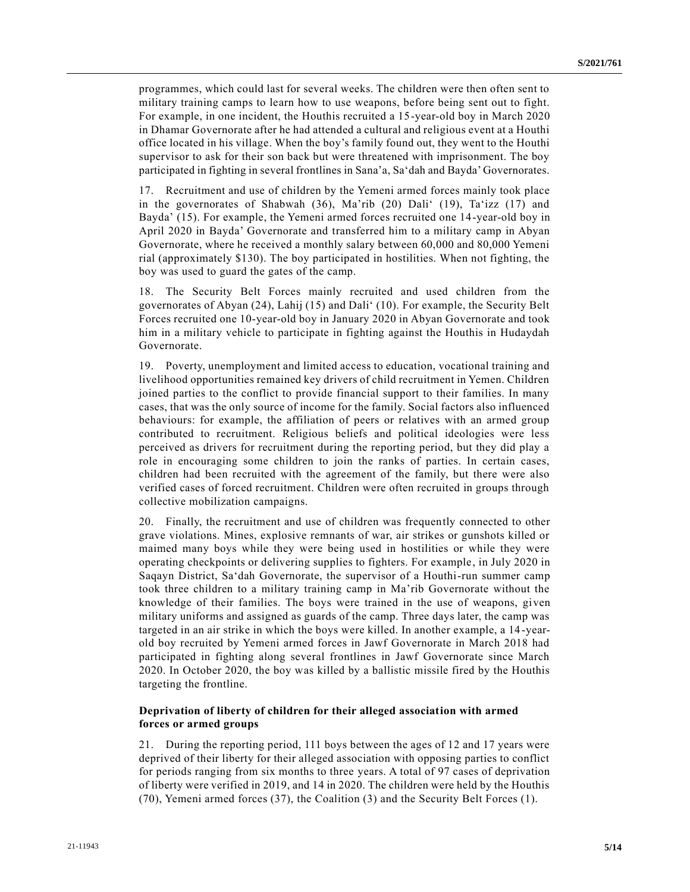programmes, which could last for several weeks. The children were then often sent to military training camps to learn how to use weapons, before being sent out to fight. For example, in one incident, the Houthis recruited a 15-year-old boy in March 2020 in Dhamar Governorate after he had attended a cultural and religious event at a Houthi office located in his village. When the boy's family found out, they went to the Houthi supervisor to ask for their son back but were threatened with imprisonment. The boy participated in fighting in several frontlines in Sana'a, Sa'dah and Bayda' Governorates.

17. Recruitment and use of children by the Yemeni armed forces mainly took place in the governorates of Shabwah (36), Ma'rib (20) Dali' (19), Ta'izz (17) and Bayda' (15). For example, the Yemeni armed forces recruited one 14-year-old boy in April 2020 in Bayda' Governorate and transferred him to a military camp in Abyan Governorate, where he received a monthly salary between 60,000 and 80,000 Yemeni rial (approximately \$130). The boy participated in hostilities. When not fighting, the boy was used to guard the gates of the camp.

18. The Security Belt Forces mainly recruited and used children from the governorates of Abyan (24), Lahij (15) and Dali' (10). For example, the Security Belt Forces recruited one 10-year-old boy in January 2020 in Abyan Governorate and took him in a military vehicle to participate in fighting against the Houthis in Hudaydah Governorate.

19. Poverty, unemployment and limited access to education, vocational training and livelihood opportunities remained key drivers of child recruitment in Yemen. Children joined parties to the conflict to provide financial support to their families. In many cases, that was the only source of income for the family. Social factors also influenced behaviours: for example, the affiliation of peers or relatives with an armed group contributed to recruitment. Religious beliefs and political ideologies were less perceived as drivers for recruitment during the reporting period, but they did play a role in encouraging some children to join the ranks of parties. In certain cases, children had been recruited with the agreement of the family, but there were also verified cases of forced recruitment. Children were often recruited in groups through collective mobilization campaigns.

20. Finally, the recruitment and use of children was frequently connected to other grave violations. Mines, explosive remnants of war, air strikes or gunshots killed or maimed many boys while they were being used in hostilities or while they were operating checkpoints or delivering supplies to fighters. For example, in July 2020 in Saqayn District, Sa'dah Governorate, the supervisor of a Houthi-run summer camp took three children to a military training camp in Ma'rib Governorate without the knowledge of their families. The boys were trained in the use of weapons, given military uniforms and assigned as guards of the camp. Three days later, the camp was targeted in an air strike in which the boys were killed. In another example, a 14 -yearold boy recruited by Yemeni armed forces in Jawf Governorate in March 2018 had participated in fighting along several frontlines in Jawf Governorate since March 2020. In October 2020, the boy was killed by a ballistic missile fired by the Houthis targeting the frontline.

#### **Deprivation of liberty of children for their alleged association with armed forces or armed groups**

21. During the reporting period, 111 boys between the ages of 12 and 17 years were deprived of their liberty for their alleged association with opposing parties to conflict for periods ranging from six months to three years. A total of 97 cases of deprivation of liberty were verified in 2019, and 14 in 2020. The children were held by the Houthis (70), Yemeni armed forces (37), the Coalition (3) and the Security Belt Forces (1).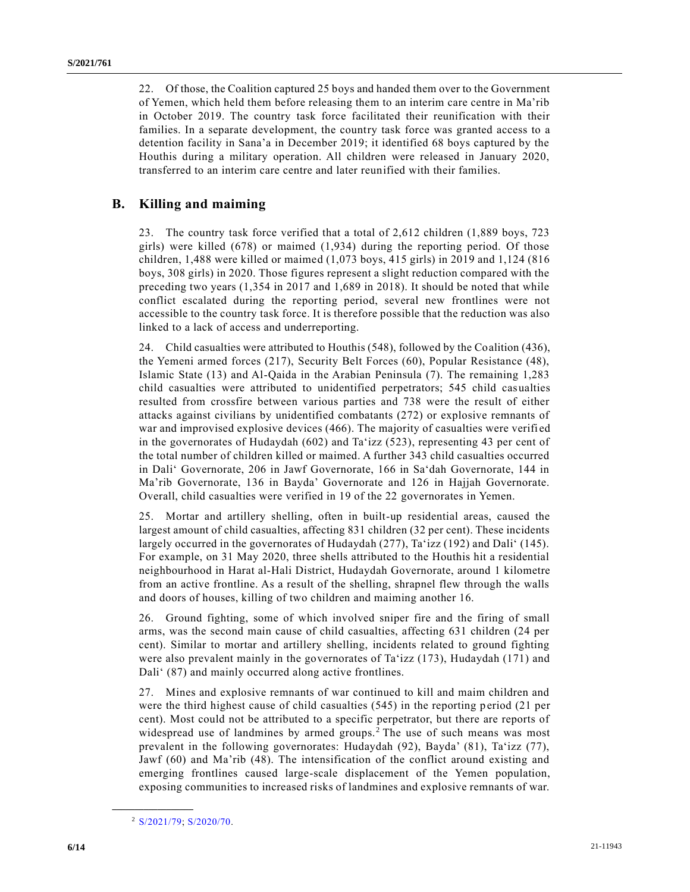22. Of those, the Coalition captured 25 boys and handed them over to the Government of Yemen, which held them before releasing them to an interim care centre in Ma'rib in October 2019. The country task force facilitated their reunification with their families. In a separate development, the country task force was granted access to a detention facility in Sana'a in December 2019; it identified 68 boys captured by the Houthis during a military operation. All children were released in January 2020, transferred to an interim care centre and later reunified with their families.

## **B. Killing and maiming**

23. The country task force verified that a total of 2,612 children (1,889 boys, 723 girls) were killed (678) or maimed (1,934) during the reporting period. Of those children, 1,488 were killed or maimed (1,073 boys, 415 girls) in 2019 and 1,124 (816 boys, 308 girls) in 2020. Those figures represent a slight reduction compared with the preceding two years (1,354 in 2017 and 1,689 in 2018). It should be noted that while conflict escalated during the reporting period, several new frontlines were not accessible to the country task force. It is therefore possible that the reduction was also linked to a lack of access and underreporting.

24. Child casualties were attributed to Houthis (548), followed by the Coalition (436), the Yemeni armed forces (217), Security Belt Forces (60), Popular Resistance (48), Islamic State (13) and Al-Qaida in the Arabian Peninsula (7). The remaining 1,283 child casualties were attributed to unidentified perpetrators; 545 child casualties resulted from crossfire between various parties and 738 were the result of either attacks against civilians by unidentified combatants (272) or explosive remnants of war and improvised explosive devices (466). The majority of casualties were verifi ed in the governorates of Hudaydah (602) and Ta'izz (523), representing 43 per cent of the total number of children killed or maimed. A further 343 child casualties occurred in Dali' Governorate, 206 in Jawf Governorate, 166 in Sa'dah Governorate, 144 in Ma'rib Governorate, 136 in Bayda' Governorate and 126 in Hajjah Governorate. Overall, child casualties were verified in 19 of the 22 governorates in Yemen.

25. Mortar and artillery shelling, often in built-up residential areas, caused the largest amount of child casualties, affecting 831 children (32 per cent). These incidents largely occurred in the governorates of Hudaydah (277), Ta'izz (192) and Dali' (145). For example, on 31 May 2020, three shells attributed to the Houthis hit a residential neighbourhood in Harat al-Hali District, Hudaydah Governorate, around 1 kilometre from an active frontline. As a result of the shelling, shrapnel flew through the walls and doors of houses, killing of two children and maiming another 16.

26. Ground fighting, some of which involved sniper fire and the firing of small arms, was the second main cause of child casualties, affecting 631 children (24 per cent). Similar to mortar and artillery shelling, incidents related to ground fighting were also prevalent mainly in the governorates of Ta'izz (173), Hudaydah (171) and Dali' (87) and mainly occurred along active frontlines.

27. Mines and explosive remnants of war continued to kill and maim children and were the third highest cause of child casualties (545) in the reporting period (21 per cent). Most could not be attributed to a specific perpetrator, but there are reports of widespread use of landmines by armed groups.<sup>2</sup> The use of such means was most prevalent in the following governorates: Hudaydah (92), Bayda' (81), Ta'izz (77), Jawf (60) and Ma'rib (48). The intensification of the conflict around existing and emerging frontlines caused large-scale displacement of the Yemen population, exposing communities to increased risks of landmines and explosive remnants of war.

**\_\_\_\_\_\_\_\_\_\_\_\_\_\_\_\_\_\_**

<sup>2</sup> [S/2021/79;](https://undocs.org/en/S/2021/79) [S/2020/70.](https://undocs.org/en/S/2020/70)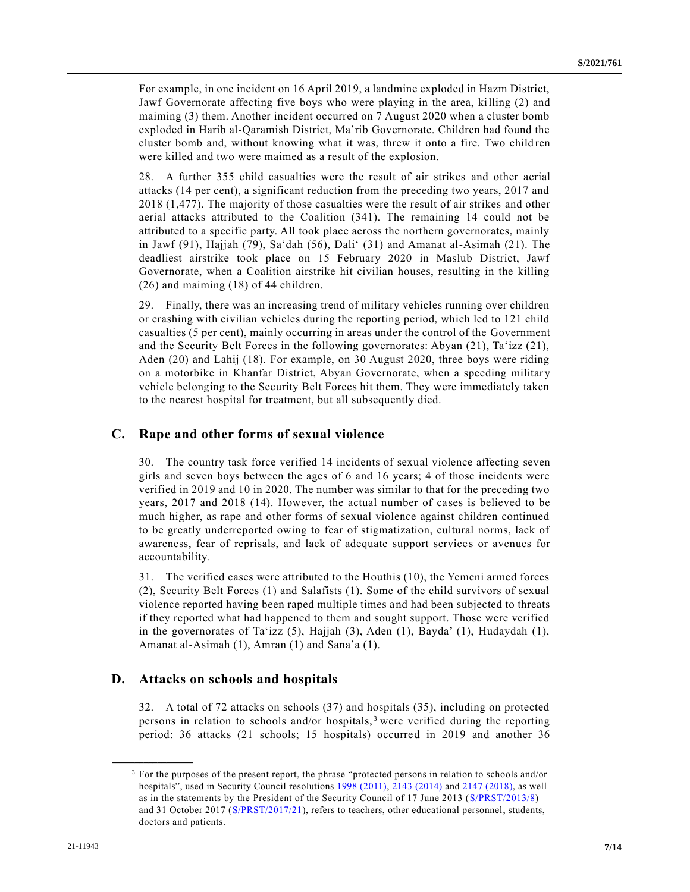For example, in one incident on 16 April 2019, a landmine exploded in Hazm District, Jawf Governorate affecting five boys who were playing in the area, killing (2) and maiming (3) them. Another incident occurred on 7 August 2020 when a cluster bomb exploded in Harib al-Qaramish District, Ma'rib Governorate. Children had found the cluster bomb and, without knowing what it was, threw it onto a fire. Two child ren were killed and two were maimed as a result of the explosion.

28. A further 355 child casualties were the result of air strikes and other aerial attacks (14 per cent), a significant reduction from the preceding two years, 2017 and 2018 (1,477). The majority of those casualties were the result of air strikes and other aerial attacks attributed to the Coalition (341). The remaining 14 could not be attributed to a specific party. All took place across the northern governorates, mainly in Jawf (91), Hajjah (79), Sa'dah (56), Dali' (31) and Amanat al-Asimah (21). The deadliest airstrike took place on 15 February 2020 in Maslub District, Jawf Governorate, when a Coalition airstrike hit civilian houses, resulting in the killing (26) and maiming (18) of 44 children.

29. Finally, there was an increasing trend of military vehicles running over children or crashing with civilian vehicles during the reporting period, which led to 121 child casualties (5 per cent), mainly occurring in areas under the control of the Government and the Security Belt Forces in the following governorates: Abyan (21), Ta'izz (21), Aden (20) and Lahij (18). For example, on 30 August 2020, three boys were riding on a motorbike in Khanfar District, Abyan Governorate, when a speeding militar y vehicle belonging to the Security Belt Forces hit them. They were immediately taken to the nearest hospital for treatment, but all subsequently died.

#### **C. Rape and other forms of sexual violence**

30. The country task force verified 14 incidents of sexual violence affecting seven girls and seven boys between the ages of 6 and 16 years; 4 of those incidents were verified in 2019 and 10 in 2020. The number was similar to that for the preceding two years, 2017 and 2018 (14). However, the actual number of cases is believed to be much higher, as rape and other forms of sexual violence against children continued to be greatly underreported owing to fear of stigmatization, cultural norms, lack of awareness, fear of reprisals, and lack of adequate support services or avenues for accountability.

31. The verified cases were attributed to the Houthis (10), the Yemeni armed forces (2), Security Belt Forces (1) and Salafists (1). Some of the child survivors of sexual violence reported having been raped multiple times and had been subjected to threats if they reported what had happened to them and sought support. Those were verified in the governorates of Ta'izz (5), Hajjah (3), Aden (1), Bayda' (1), Hudaydah (1), Amanat al-Asimah (1), Amran (1) and Sana'a (1).

#### **D. Attacks on schools and hospitals**

**\_\_\_\_\_\_\_\_\_\_\_\_\_\_\_\_\_\_**

32. A total of 72 attacks on schools (37) and hospitals (35), including on protected persons in relation to schools and/or hospitals,<sup>3</sup> were verified during the reporting period: 36 attacks (21 schools; 15 hospitals) occurred in 2019 and another 36

<sup>3</sup> For the purposes of the present report, the phrase "protected persons in relation to schools and/or hospitals", used in Security Council resolutions [1998 \(2011\),](https://undocs.org/en/S/RES/1998(2011)) [2143 \(2014\)](https://undocs.org/en/S/RES/2143(2014)) and [2147 \(2018\),](https://undocs.org/en/S/RES/2147(2018)) as well as in the statements by the President of the Security Council of 17 June 2013 [\(S/PRST/2013/8\)](https://undocs.org/en/S/PRST/2013/8) and 31 October 2017 [\(S/PRST/2017/21\)](https://undocs.org/en/S/PRST/2017/21), refers to teachers, other educational personnel, students, doctors and patients.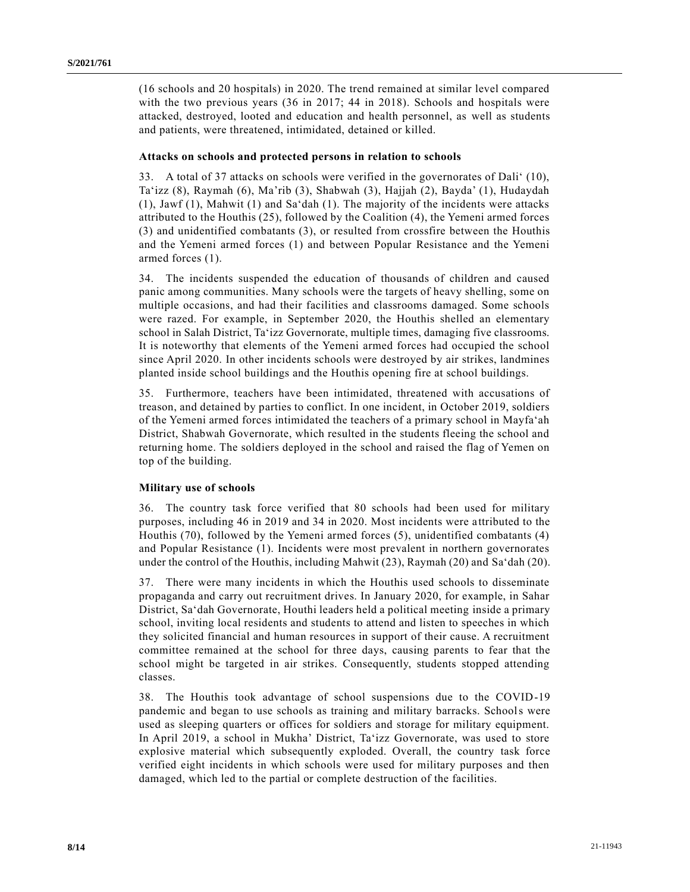(16 schools and 20 hospitals) in 2020. The trend remained at similar level compared with the two previous years (36 in 2017; 44 in 2018). Schools and hospitals were attacked, destroyed, looted and education and health personnel, as well as students and patients, were threatened, intimidated, detained or killed.

#### **Attacks on schools and protected persons in relation to schools**

33. A total of 37 attacks on schools were verified in the governorates of Dali' (10), Ta'izz (8), Raymah (6), Ma'rib (3), Shabwah (3), Hajjah (2), Bayda' (1), Hudaydah (1), Jawf (1), Mahwit (1) and Sa'dah (1). The majority of the incidents were attacks attributed to the Houthis (25), followed by the Coalition (4), the Yemeni armed forces (3) and unidentified combatants (3), or resulted from crossfire between the Houthis and the Yemeni armed forces (1) and between Popular Resistance and the Yemeni armed forces (1).

34. The incidents suspended the education of thousands of children and caused panic among communities. Many schools were the targets of heavy shelling, some on multiple occasions, and had their facilities and classrooms damaged. Some schools were razed. For example, in September 2020, the Houthis shelled an elementary school in Salah District, Ta'izz Governorate, multiple times, damaging five classrooms. It is noteworthy that elements of the Yemeni armed forces had occupied the school since April 2020. In other incidents schools were destroyed by air strikes, landmines planted inside school buildings and the Houthis opening fire at school buildings.

35. Furthermore, teachers have been intimidated, threatened with accusations of treason, and detained by parties to conflict. In one incident, in October 2019, soldiers of the Yemeni armed forces intimidated the teachers of a primary school in Mayfa'ah District, Shabwah Governorate, which resulted in the students fleeing the school and returning home. The soldiers deployed in the school and raised the flag of Yemen on top of the building.

#### **Military use of schools**

36. The country task force verified that 80 schools had been used for military purposes, including 46 in 2019 and 34 in 2020. Most incidents were a ttributed to the Houthis (70), followed by the Yemeni armed forces (5), unidentified combatants (4) and Popular Resistance (1). Incidents were most prevalent in northern governorates under the control of the Houthis, including Mahwit (23), Raymah (20) and Sa'dah (20).

37. There were many incidents in which the Houthis used schools to disseminate propaganda and carry out recruitment drives. In January 2020, for example, in Sahar District, Sa'dah Governorate, Houthi leaders held a political meeting inside a primary school, inviting local residents and students to attend and listen to speeches in which they solicited financial and human resources in support of their cause. A recruitment committee remained at the school for three days, causing parents to fear that the school might be targeted in air strikes. Consequently, students stopped attending classes.

38. The Houthis took advantage of school suspensions due to the COVID-19 pandemic and began to use schools as training and military barracks. Schools were used as sleeping quarters or offices for soldiers and storage for military equipment. In April 2019, a school in Mukha' District, Ta'izz Governorate, was used to store explosive material which subsequently exploded. Overall, the country task force verified eight incidents in which schools were used for military purposes and then damaged, which led to the partial or complete destruction of the facilities.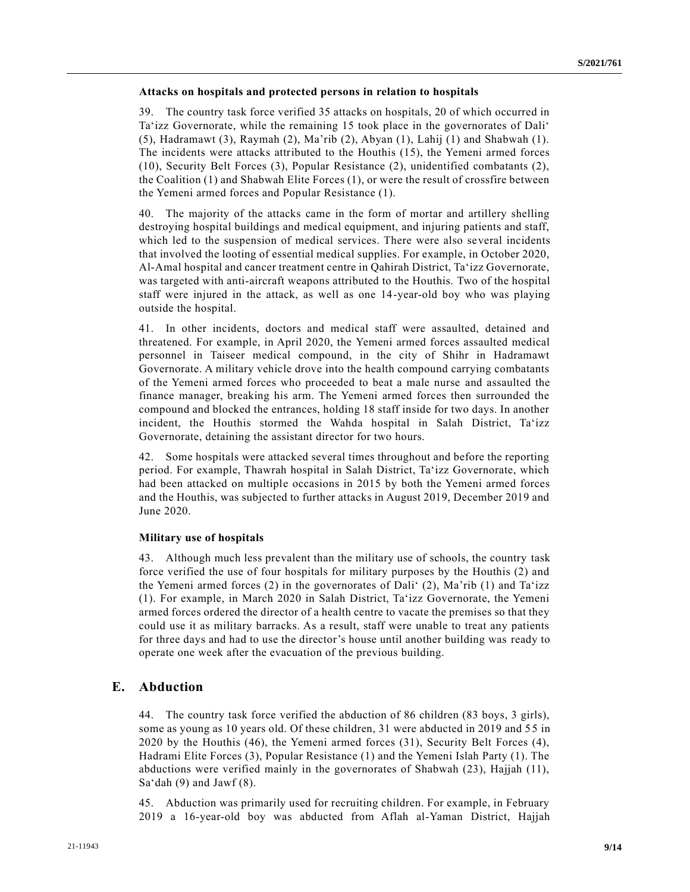#### **Attacks on hospitals and protected persons in relation to hospitals**

39. The country task force verified 35 attacks on hospitals, 20 of which occurred in Ta'izz Governorate, while the remaining 15 took place in the governorates of Dali' (5), Hadramawt (3), Raymah (2), Ma'rib (2), Abyan (1), Lahij (1) and Shabwah (1). The incidents were attacks attributed to the Houthis (15), the Yemeni armed forces (10), Security Belt Forces (3), Popular Resistance (2), unidentified combatants (2), the Coalition (1) and Shabwah Elite Forces (1), or were the result of crossfire between the Yemeni armed forces and Popular Resistance (1).

40. The majority of the attacks came in the form of mortar and artillery shelling destroying hospital buildings and medical equipment, and injuring patients and staff, which led to the suspension of medical services. There were also several incidents that involved the looting of essential medical supplies. For example, in October 2020, Al-Amal hospital and cancer treatment centre in Qahirah District, Ta'izz Governorate, was targeted with anti-aircraft weapons attributed to the Houthis. Two of the hospital staff were injured in the attack, as well as one 14-year-old boy who was playing outside the hospital.

41. In other incidents, doctors and medical staff were assaulted, detained and threatened. For example, in April 2020, the Yemeni armed forces assaulted medical personnel in Taiseer medical compound, in the city of Shihr in Hadramawt Governorate. A military vehicle drove into the health compound carrying combatants of the Yemeni armed forces who proceeded to beat a male nurse and assaulted the finance manager, breaking his arm. The Yemeni armed forces then surrounded the compound and blocked the entrances, holding 18 staff inside for two days. In another incident, the Houthis stormed the Wahda hospital in Salah District, Ta'izz Governorate, detaining the assistant director for two hours.

42. Some hospitals were attacked several times throughout and before the reporting period. For example, Thawrah hospital in Salah District, Ta'izz Governorate, which had been attacked on multiple occasions in 2015 by both the Yemeni armed forces and the Houthis, was subjected to further attacks in August 2019, December 2019 and June 2020.

#### **Military use of hospitals**

43. Although much less prevalent than the military use of schools, the country task force verified the use of four hospitals for military purposes by the Houthis (2) and the Yemeni armed forces (2) in the governorates of Dali' (2), Ma'rib (1) and Ta'izz (1). For example, in March 2020 in Salah District, Ta'izz Governorate, the Yemeni armed forces ordered the director of a health centre to vacate the premises so that they could use it as military barracks. As a result, staff were unable to treat any patients for three days and had to use the director's house until another building was ready to operate one week after the evacuation of the previous building.

### **E. Abduction**

44. The country task force verified the abduction of 86 children (83 boys, 3 girls), some as young as 10 years old. Of these children, 31 were abducted in 2019 and 55 in 2020 by the Houthis (46), the Yemeni armed forces (31), Security Belt Forces (4), Hadrami Elite Forces (3), Popular Resistance (1) and the Yemeni Islah Party (1). The abductions were verified mainly in the governorates of Shabwah (23), Hajjah (11), Sa'dah  $(9)$  and Jawf  $(8)$ .

45. Abduction was primarily used for recruiting children. For example, in February 2019 a 16-year-old boy was abducted from Aflah al-Yaman District, Hajjah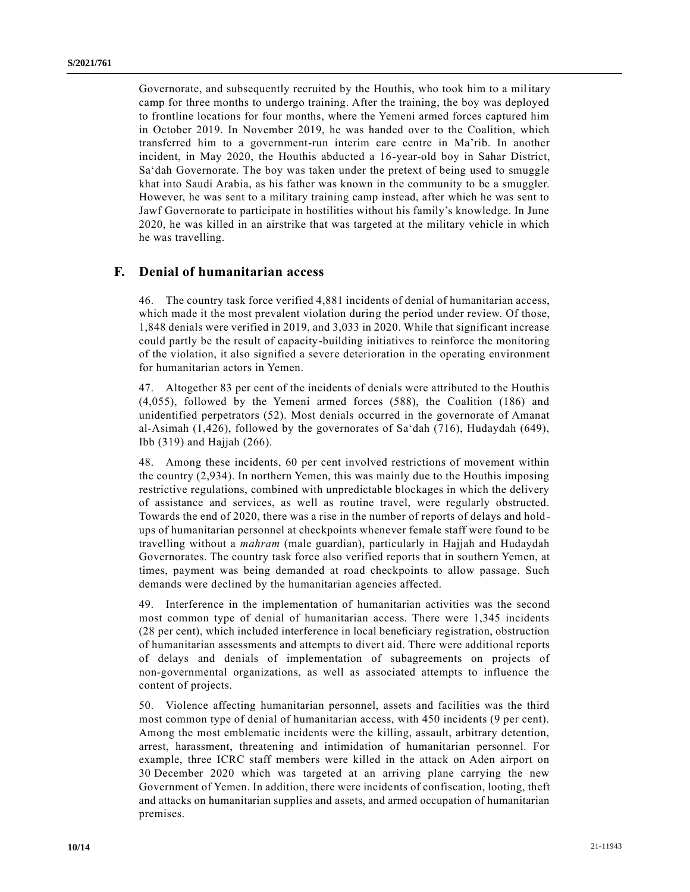Governorate, and subsequently recruited by the Houthis, who took him to a military camp for three months to undergo training. After the training, the boy was deployed to frontline locations for four months, where the Yemeni armed forces captured him in October 2019. In November 2019, he was handed over to the Coalition, which transferred him to a government-run interim care centre in Ma'rib. In another incident, in May 2020, the Houthis abducted a 16-year-old boy in Sahar District, Sa'dah Governorate. The boy was taken under the pretext of being used to smuggle khat into Saudi Arabia, as his father was known in the community to be a smuggler. However, he was sent to a military training camp instead, after which he was sent to Jawf Governorate to participate in hostilities without his family's knowledge. In June 2020, he was killed in an airstrike that was targeted at the military vehicle in which he was travelling.

### **F. Denial of humanitarian access**

46. The country task force verified 4,881 incidents of denial of humanitarian access, which made it the most prevalent violation during the period under review. Of those, 1,848 denials were verified in 2019, and 3,033 in 2020. While that significant increase could partly be the result of capacity-building initiatives to reinforce the monitoring of the violation, it also signified a severe deterioration in the operating environment for humanitarian actors in Yemen.

47. Altogether 83 per cent of the incidents of denials were attributed to the Houthis (4,055), followed by the Yemeni armed forces (588), the Coalition (186) and unidentified perpetrators (52). Most denials occurred in the governorate of Amanat al-Asimah (1,426), followed by the governorates of Sa'dah (716), Hudaydah (649), Ibb (319) and Hajjah (266).

48. Among these incidents, 60 per cent involved restrictions of movement within the country (2,934). In northern Yemen, this was mainly due to the Houthis imposing restrictive regulations, combined with unpredictable blockages in which the delivery of assistance and services, as well as routine travel, were regularly obstructed. Towards the end of 2020, there was a rise in the number of reports of delays and hold ups of humanitarian personnel at checkpoints whenever female staff were found to be travelling without a *mahram* (male guardian), particularly in Hajjah and Hudaydah Governorates. The country task force also verified reports that in southern Yemen, at times, payment was being demanded at road checkpoints to allow passage. Such demands were declined by the humanitarian agencies affected.

49. Interference in the implementation of humanitarian activities was the second most common type of denial of humanitarian access. There were 1,345 incidents (28 per cent), which included interference in local beneficiary registration, obstruction of humanitarian assessments and attempts to divert aid. There were additional reports of delays and denials of implementation of subagreements on projects of non-governmental organizations, as well as associated attempts to influence the content of projects.

50. Violence affecting humanitarian personnel, assets and facilities was the third most common type of denial of humanitarian access, with 450 incidents (9 per cent). Among the most emblematic incidents were the killing, assault, arbitrary detention, arrest, harassment, threatening and intimidation of humanitarian personnel. For example, three ICRC staff members were killed in the attack on Aden airport on 30 December 2020 which was targeted at an arriving plane carrying the new Government of Yemen. In addition, there were incidents of confiscation, looting, theft and attacks on humanitarian supplies and assets, and armed occupation of humanitarian premises.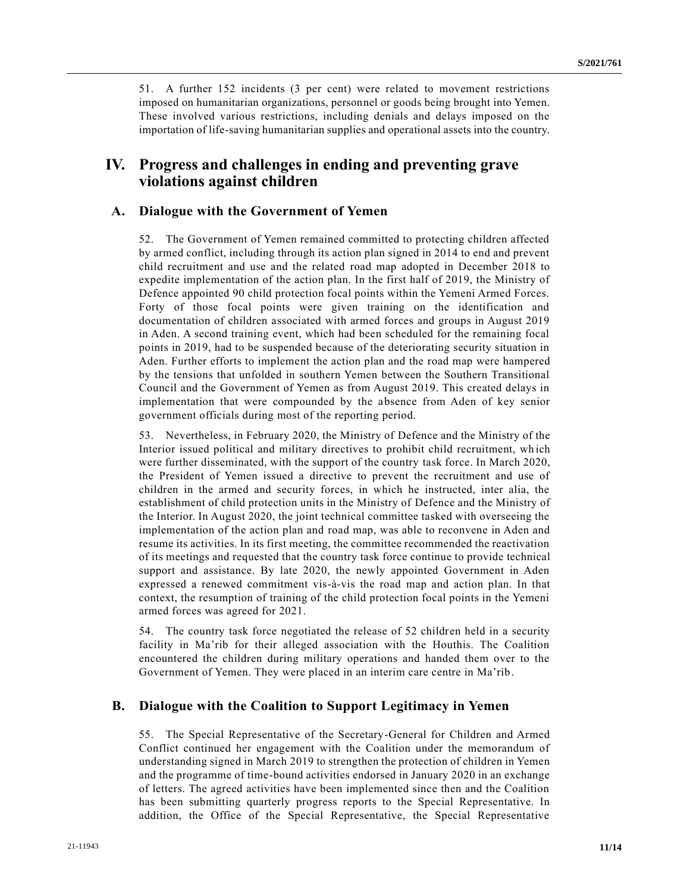51. A further 152 incidents (3 per cent) were related to movement restrictions imposed on humanitarian organizations, personnel or goods being brought into Yemen. These involved various restrictions, including denials and delays imposed on the importation of life-saving humanitarian supplies and operational assets into the country.

## **IV. Progress and challenges in ending and preventing grave violations against children**

### **A. Dialogue with the Government of Yemen**

52. The Government of Yemen remained committed to protecting children affected by armed conflict, including through its action plan signed in 2014 to end and prevent child recruitment and use and the related road map adopted in December 2018 to expedite implementation of the action plan. In the first half of 2019, the Ministry of Defence appointed 90 child protection focal points within the Yemeni Armed Forces. Forty of those focal points were given training on the identification and documentation of children associated with armed forces and groups in August 2019 in Aden. A second training event, which had been scheduled for the remaining focal points in 2019, had to be suspended because of the deteriorating security situation in Aden. Further efforts to implement the action plan and the road map were hampered by the tensions that unfolded in southern Yemen between the Southern Transitional Council and the Government of Yemen as from August 2019. This created delays in implementation that were compounded by the absence from Aden of key senior government officials during most of the reporting period.

53. Nevertheless, in February 2020, the Ministry of Defence and the Ministry of the Interior issued political and military directives to prohibit child recruitment, wh ich were further disseminated, with the support of the country task force. In March 2020, the President of Yemen issued a directive to prevent the recruitment and use of children in the armed and security forces, in which he instructed, inter alia, the establishment of child protection units in the Ministry of Defence and the Ministry of the Interior. In August 2020, the joint technical committee tasked with overseeing the implementation of the action plan and road map, was able to reconvene in Aden and resume its activities. In its first meeting, the committee recommended the reactivation of its meetings and requested that the country task force continue to provide technical support and assistance. By late 2020, the newly appointed Government in Aden expressed a renewed commitment vis-à-vis the road map and action plan. In that context, the resumption of training of the child protection focal points in the Yemeni armed forces was agreed for 2021.

54. The country task force negotiated the release of 52 children held in a security facility in Ma'rib for their alleged association with the Houthis. The Coalition encountered the children during military operations and handed them over to the Government of Yemen. They were placed in an interim care centre in Ma'rib.

#### **B. Dialogue with the Coalition to Support Legitimacy in Yemen**

55. The Special Representative of the Secretary-General for Children and Armed Conflict continued her engagement with the Coalition under the memorandum of understanding signed in March 2019 to strengthen the protection of children in Yemen and the programme of time-bound activities endorsed in January 2020 in an exchange of letters. The agreed activities have been implemented since then and the Coalition has been submitting quarterly progress reports to the Special Representative. In addition, the Office of the Special Representative, the Special Representative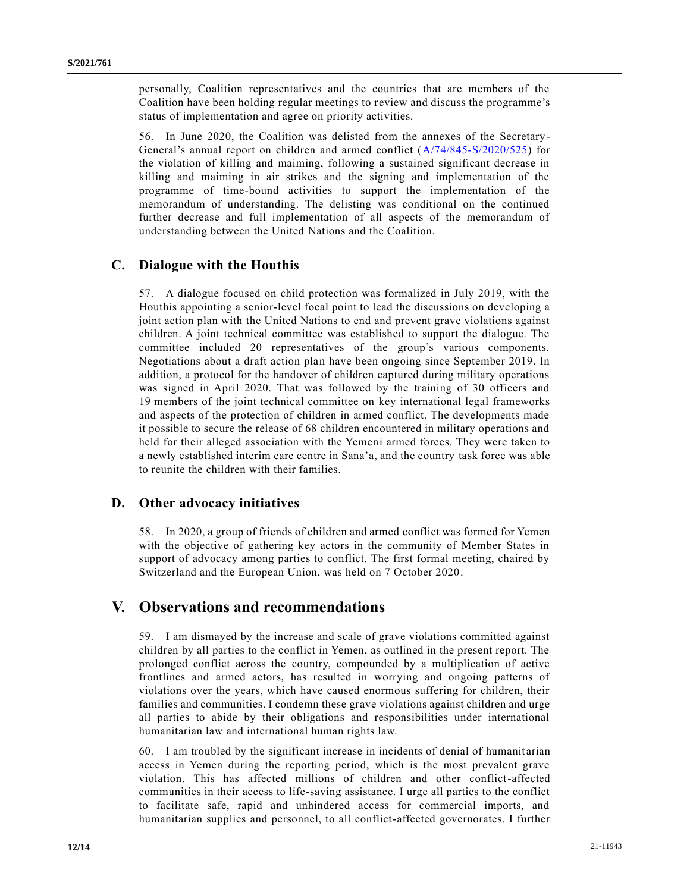personally, Coalition representatives and the countries that are members of the Coalition have been holding regular meetings to review and discuss the programme's status of implementation and agree on priority activities.

56. In June 2020, the Coalition was delisted from the annexes of the Secretary-General's annual report on children and armed conflict [\(A/74/845-S/2020/525\)](https://undocs.org/en/A/74/845) for the violation of killing and maiming, following a sustained significant decrease in killing and maiming in air strikes and the signing and implementation of the programme of time-bound activities to support the implementation of the memorandum of understanding. The delisting was conditional on the continued further decrease and full implementation of all aspects of the memorandum of understanding between the United Nations and the Coalition.

### **C. Dialogue with the Houthis**

57. A dialogue focused on child protection was formalized in July 2019, with the Houthis appointing a senior-level focal point to lead the discussions on developing a joint action plan with the United Nations to end and prevent grave violations against children. A joint technical committee was established to support the dialogue. The committee included 20 representatives of the group's various components. Negotiations about a draft action plan have been ongoing since September 2019. In addition, a protocol for the handover of children captured during military operations was signed in April 2020. That was followed by the training of 30 officers and 19 members of the joint technical committee on key international legal frameworks and aspects of the protection of children in armed conflict. The developments made it possible to secure the release of 68 children encountered in military operations and held for their alleged association with the Yemeni armed forces. They were taken to a newly established interim care centre in Sana'a, and the country task force was able to reunite the children with their families.

#### **D. Other advocacy initiatives**

58. In 2020, a group of friends of children and armed conflict was formed for Yemen with the objective of gathering key actors in the community of Member States in support of advocacy among parties to conflict. The first formal meeting, chaired by Switzerland and the European Union, was held on 7 October 2020.

## **V. Observations and recommendations**

59. I am dismayed by the increase and scale of grave violations committed against children by all parties to the conflict in Yemen, as outlined in the present report. The prolonged conflict across the country, compounded by a multiplication of active frontlines and armed actors, has resulted in worrying and ongoing patterns of violations over the years, which have caused enormous suffering for children, their families and communities. I condemn these grave violations against children and urge all parties to abide by their obligations and responsibilities under international humanitarian law and international human rights law.

60. I am troubled by the significant increase in incidents of denial of humanit arian access in Yemen during the reporting period, which is the most prevalent grave violation. This has affected millions of children and other conflict-affected communities in their access to life-saving assistance. I urge all parties to the conflict to facilitate safe, rapid and unhindered access for commercial imports, and humanitarian supplies and personnel, to all conflict-affected governorates. I further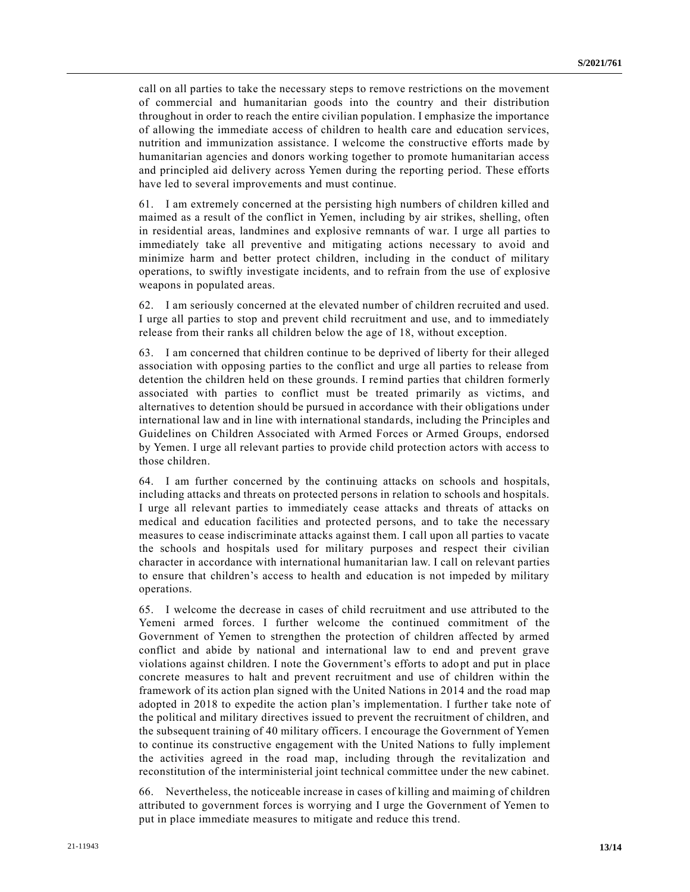call on all parties to take the necessary steps to remove restrictions on the movement of commercial and humanitarian goods into the country and their distribution throughout in order to reach the entire civilian population. I emphasize the importance of allowing the immediate access of children to health care and education services, nutrition and immunization assistance. I welcome the constructive efforts made by humanitarian agencies and donors working together to promote humanitarian access and principled aid delivery across Yemen during the reporting period. These efforts have led to several improvements and must continue.

61. I am extremely concerned at the persisting high numbers of children killed and maimed as a result of the conflict in Yemen, including by air strikes, shelling, often in residential areas, landmines and explosive remnants of war. I urge all parties to immediately take all preventive and mitigating actions necessary to avoid and minimize harm and better protect children, including in the conduct of military operations, to swiftly investigate incidents, and to refrain from the use of explosive weapons in populated areas.

62. I am seriously concerned at the elevated number of children recruited and used. I urge all parties to stop and prevent child recruitment and use, and to immediately release from their ranks all children below the age of 18, without exception.

63. I am concerned that children continue to be deprived of liberty for their alleged association with opposing parties to the conflict and urge all parties to release from detention the children held on these grounds. I remind parties that children formerly associated with parties to conflict must be treated primarily as victims, and alternatives to detention should be pursued in accordance with their obligations under international law and in line with international standards, including the Principles and Guidelines on Children Associated with Armed Forces or Armed Groups, endorsed by Yemen. I urge all relevant parties to provide child protection actors with access to those children.

64. I am further concerned by the continuing attacks on schools and hospitals, including attacks and threats on protected persons in relation to schools and hospitals. I urge all relevant parties to immediately cease attacks and threats of attacks on medical and education facilities and protected persons, and to take the necessary measures to cease indiscriminate attacks against them. I call upon all parties to vacate the schools and hospitals used for military purposes and respect their civilian character in accordance with international humanitarian law. I call on relevant parties to ensure that children's access to health and education is not impeded by military operations.

65. I welcome the decrease in cases of child recruitment and use attributed to the Yemeni armed forces. I further welcome the continued commitment of the Government of Yemen to strengthen the protection of children affected by armed conflict and abide by national and international law to end and prevent grave violations against children. I note the Government's efforts to adopt and put in place concrete measures to halt and prevent recruitment and use of children within the framework of its action plan signed with the United Nations in 2014 and the road map adopted in 2018 to expedite the action plan's implementation. I further take note of the political and military directives issued to prevent the recruitment of children, and the subsequent training of 40 military officers. I encourage the Government of Yemen to continue its constructive engagement with the United Nations to fully implement the activities agreed in the road map, including through the revitalization and reconstitution of the interministerial joint technical committee under the new cabinet.

66. Nevertheless, the noticeable increase in cases of killing and maiming of children attributed to government forces is worrying and I urge the Government of Yemen to put in place immediate measures to mitigate and reduce this trend.